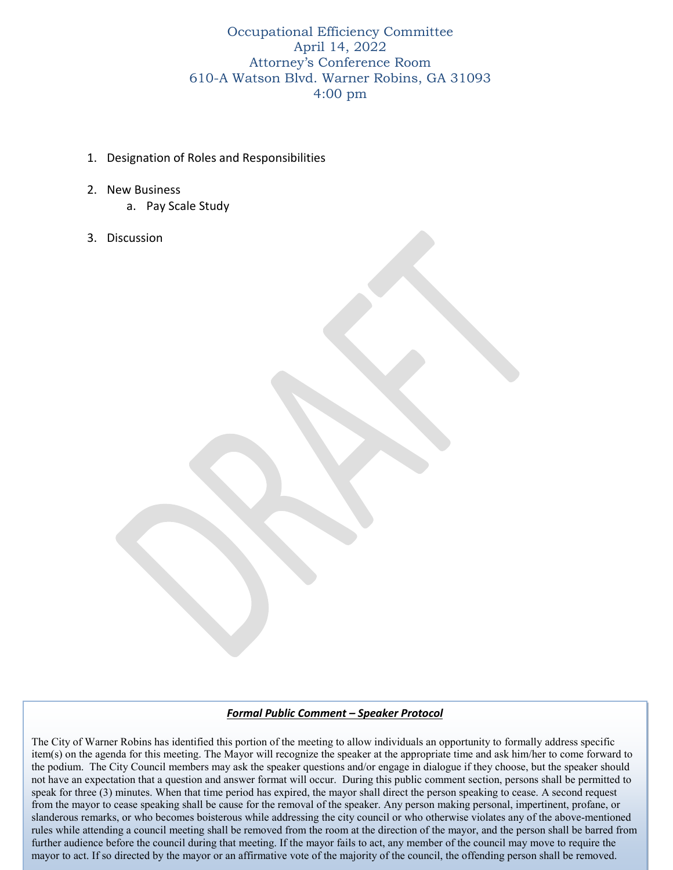Occupational Efficiency Committee April 14, 2022 Attorney's Conference Room 610-A Watson Blvd. Warner Robins, GA 31093 4:00 pm

- 1. Designation of Roles and Responsibilities
- 2. New Business
	- a. Pay Scale Study
- 3. Discussion

## *Formal Public Comment – Speaker Protocol*

speak for three (3) minutes. When that time period has expired, the mayor shall direct the person speaking to cease. A second request from the mayor to cease speaking shall be cause for the removal of the speaker. Any person making personal, impertinent, profane, or slanderous remarks, or who becomes boisterous while addressing the city council or who otherwise violates any of the above-mentioned rules while attending a council meeting shall be removed from the room at the direction of the mayor, and the person shall be barred from The City of Warner Robins has identified this portion of the meeting to allow individuals an opportunity to formally address specific item(s) on the agenda for this meeting. The Mayor will recognize the speaker at the appropriate time and ask him/her to come forward to the podium. The City Council members may ask the speaker questions and/or engage in dialogue if they choose, but the speaker should not have an expectation that a question and answer format will occur. During this public comment section, persons shall be permitted to further audience before the council during that meeting. If the mayor fails to act, any member of the council may move to require the mayor to act. If so directed by the mayor or an affirmative vote of the majority of the council, the offending person shall be removed.